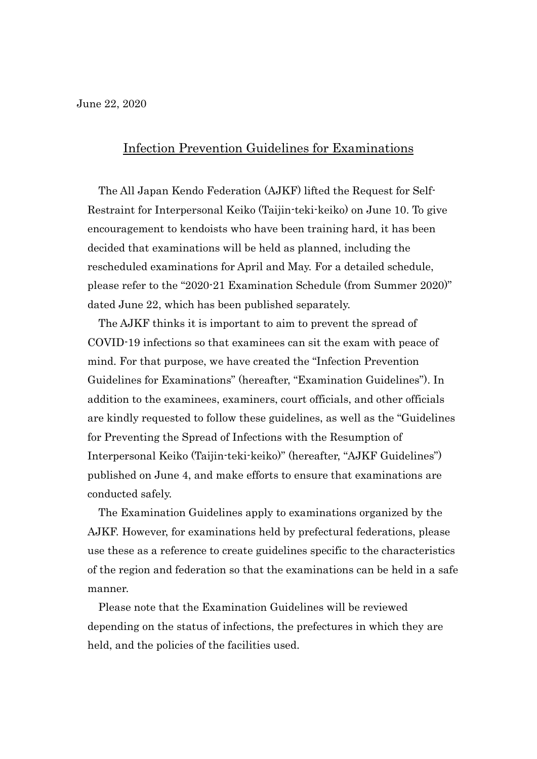## Infection Prevention Guidelines for Examinations

The All Japan Kendo Federation (AJKF) lifted the Request for Self-Restraint for Interpersonal Keiko (Taijin-teki-keiko) on June 10. To give encouragement to kendoists who have been training hard, it has been decided that examinations will be held as planned, including the rescheduled examinations for April and May. For a detailed schedule, please refer to the "2020-21 Examination Schedule (from Summer 2020)" dated June 22, which has been published separately.

The AJKF thinks it is important to aim to prevent the spread of COVID-19 infections so that examinees can sit the exam with peace of mind. For that purpose, we have created the "Infection Prevention Guidelines for Examinations" (hereafter, "Examination Guidelines"). In addition to the examinees, examiners, court officials, and other officials are kindly requested to follow these guidelines, as well as the "Guidelines for Preventing the Spread of Infections with the Resumption of Interpersonal Keiko (Taijin-teki-keiko)" (hereafter, "AJKF Guidelines") published on June 4, and make efforts to ensure that examinations are conducted safely.

The Examination Guidelines apply to examinations organized by the AJKF. However, for examinations held by prefectural federations, please use these as a reference to create guidelines specific to the characteristics of the region and federation so that the examinations can be held in a safe manner.

Please note that the Examination Guidelines will be reviewed depending on the status of infections, the prefectures in which they are held, and the policies of the facilities used.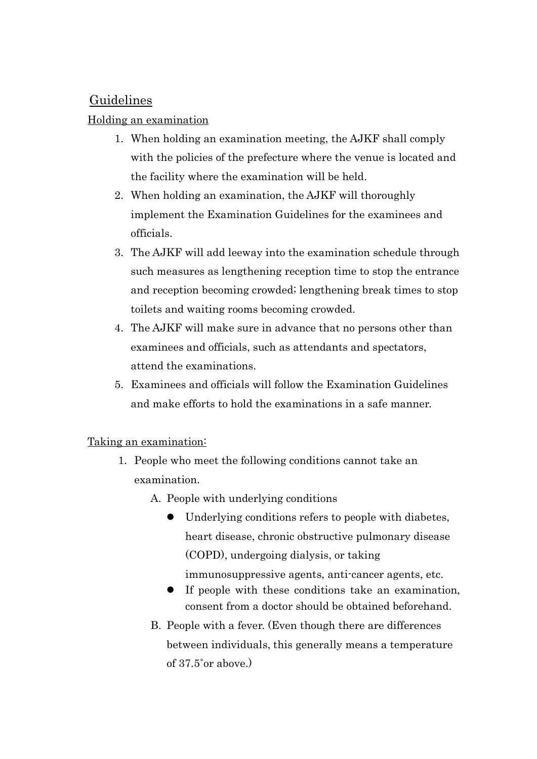# **Guidelines**

## Holding an examination

- 1. When holding an examination meeting, the AJKF shall comply with the policies of the prefecture where the venue is located and the facility where the examination will be held.
- 2. When holding an examination, the AJKF will thoroughly implement the Examination Guidelines for the examinees and officials.
- 3. The AJKF will add leeway into the examination schedule through such measures as lengthening reception time to stop the entrance and reception becoming crowded; lengthening break times to stop toilets and waiting rooms becoming crowded.
- 4. The AJKF will make sure in advance that no persons other than examinees and officials, such as attendants and spectators, attend the examinations.
- 5. Examinees and officials will follow the Examination Guidelines and make efforts to hold the examinations in a safe manner.

## Taking an examination:

- 1. People who meet the following conditions cannot take an examination.
	- A. People with underlying conditions
		- $\bullet$  Underlying conditions refers to people with diabetes, heart disease, chronic obstructive pulmonary disease (COPD), undergoing dialysis, or taking immunosuppressive agents, anti-cancer agents, etc.
		- $\bullet$  If people with these conditions take an examination, consent from a doctor should be obtained beforehand.
	- B. People with a fever. (Even though there are differences between individuals, this generally means a temperature of 37.5˚or above.)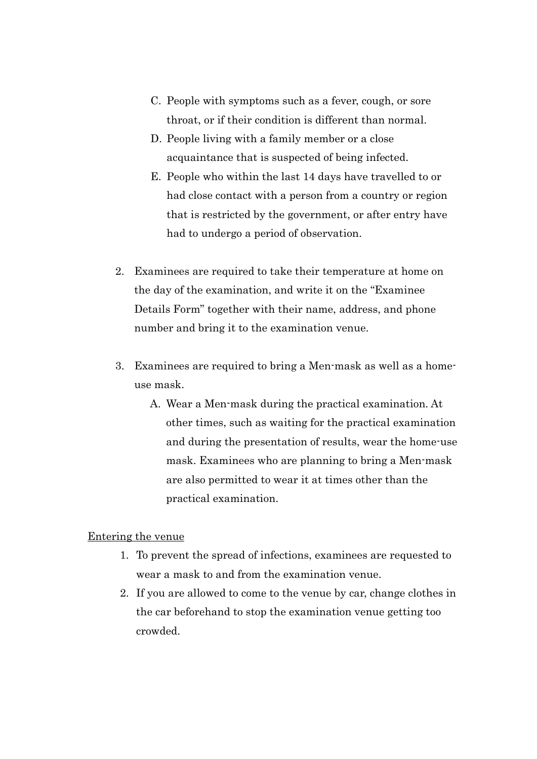- C. People with symptoms such as a fever, cough, or sore throat, or if their condition is different than normal.
- D. People living with a family member or a close acquaintance that is suspected of being infected.
- E. People who within the last 14 days have travelled to or had close contact with a person from a country or region that is restricted by the government, or after entry have had to undergo a period of observation.
- 2. Examinees are required to take their temperature at home on the day of the examination, and write it on the "Examinee Details Form" together with their name, address, and phone number and bring it to the examination venue.
- 3. Examinees are required to bring a Men-mask as well as a homeuse mask.
	- A. Wear a Men-mask during the practical examination. At other times, such as waiting for the practical examination and during the presentation of results, wear the home-use mask. Examinees who are planning to bring a Men-mask are also permitted to wear it at times other than the practical examination.

#### Entering the venue

- 1. To prevent the spread of infections, examinees are requested to wear a mask to and from the examination venue.
- 2. If you are allowed to come to the venue by car, change clothes in the car beforehand to stop the examination venue getting too crowded.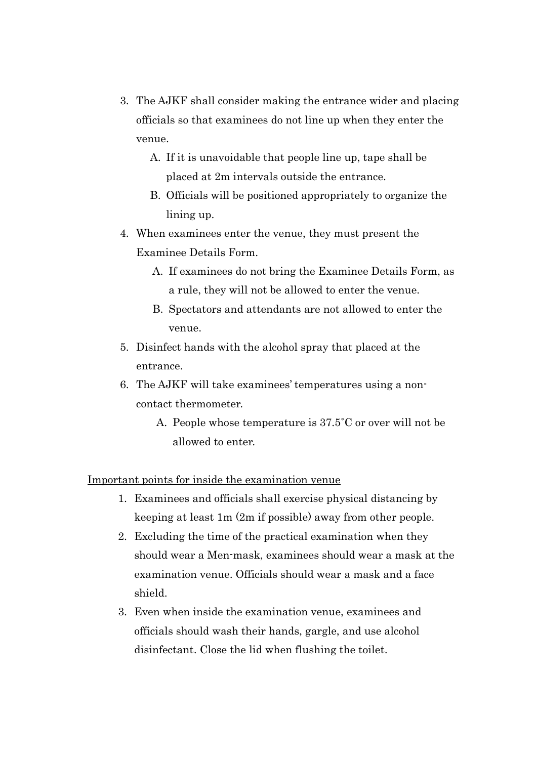- 3. The AJKF shall consider making the entrance wider and placing officials so that examinees do not line up when they enter the venue.
	- A. If it is unavoidable that people line up, tape shall be placed at 2m intervals outside the entrance.
	- B. Officials will be positioned appropriately to organize the lining up.
- 4. When examinees enter the venue, they must present the Examinee Details Form.
	- A. If examinees do not bring the Examinee Details Form, as a rule, they will not be allowed to enter the venue.
	- B. Spectators and attendants are not allowed to enter the venue.
- 5. Disinfect hands with the alcohol spray that placed at the entrance.
- 6. The AJKF will take examinees' temperatures using a noncontact thermometer.
	- A. People whose temperature is 37.5˚C or over will not be allowed to enter.

## Important points for inside the examination venue

- 1. Examinees and officials shall exercise physical distancing by keeping at least 1m (2m if possible) away from other people.
- 2. Excluding the time of the practical examination when they should wear a Men-mask, examinees should wear a mask at the examination venue. Officials should wear a mask and a face shield.
- 3. Even when inside the examination venue, examinees and officials should wash their hands, gargle, and use alcohol disinfectant. Close the lid when flushing the toilet.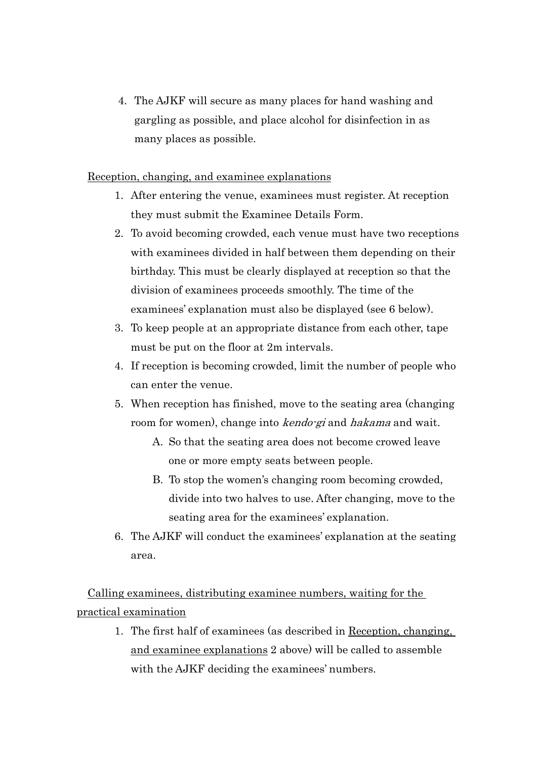4. The AJKF will secure as many places for hand washing and gargling as possible, and place alcohol for disinfection in as many places as possible.

#### Reception, changing, and examinee explanations

- 1. After entering the venue, examinees must register. At reception they must submit the Examinee Details Form.
- 2. To avoid becoming crowded, each venue must have two receptions with examinees divided in half between them depending on their birthday. This must be clearly displayed at reception so that the division of examinees proceeds smoothly. The time of the examinees' explanation must also be displayed (see 6 below).
- 3. To keep people at an appropriate distance from each other, tape must be put on the floor at 2m intervals.
- 4. If reception is becoming crowded, limit the number of people who can enter the venue.
- 5. When reception has finished, move to the seating area (changing room for women), change into *kendo-gi* and *hakama* and wait.
	- A. So that the seating area does not become crowed leave one or more empty seats between people.
	- B. To stop the women's changing room becoming crowded, divide into two halves to use. After changing, move to the seating area for the examinees' explanation.
- 6. The AJKF will conduct the examinees' explanation at the seating area.

Calling examinees, distributing examinee numbers, waiting for the practical examination

> 1. The first half of examinees (as described in Reception, changing, and examinee explanations 2 above) will be called to assemble with the AJKF deciding the examinees' numbers.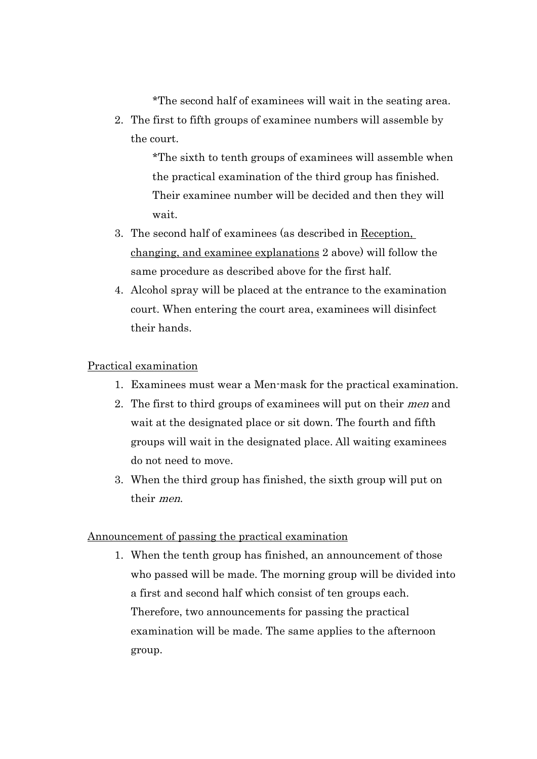\*The second half of examinees will wait in the seating area.

2. The first to fifth groups of examinee numbers will assemble by the court.

> \*The sixth to tenth groups of examinees will assemble when the practical examination of the third group has finished. Their examinee number will be decided and then they will wait.

- 3. The second half of examinees (as described in Reception, changing, and examinee explanations 2 above) will follow the same procedure as described above for the first half.
- 4. Alcohol spray will be placed at the entrance to the examination court. When entering the court area, examinees will disinfect their hands.

### Practical examination

- 1. Examinees must wear a Men-mask for the practical examination.
- 2. The first to third groups of examinees will put on their men and wait at the designated place or sit down. The fourth and fifth groups will wait in the designated place. All waiting examinees do not need to move.
- 3. When the third group has finished, the sixth group will put on their men.

#### Announcement of passing the practical examination

1. When the tenth group has finished, an announcement of those who passed will be made. The morning group will be divided into a first and second half which consist of ten groups each. Therefore, two announcements for passing the practical examination will be made. The same applies to the afternoon group.